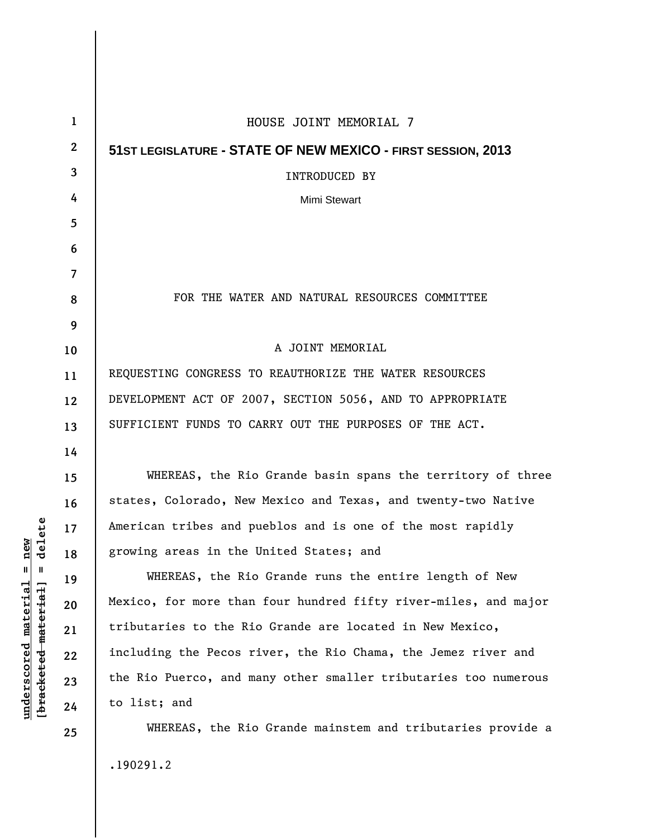| 1            | HOUSE JOINT MEMORIAL 7                                          |
|--------------|-----------------------------------------------------------------|
| $\mathbf{2}$ | 51ST LEGISLATURE - STATE OF NEW MEXICO - FIRST SESSION, 2013    |
| 3            | INTRODUCED BY                                                   |
| 4            | Mimi Stewart                                                    |
| 5            |                                                                 |
| 6            |                                                                 |
| 7            |                                                                 |
| 8            | FOR THE WATER AND NATURAL RESOURCES COMMITTEE                   |
| 9            |                                                                 |
| 10           | A JOINT MEMORIAL                                                |
| 11           | REQUESTING CONGRESS TO REAUTHORIZE THE WATER RESOURCES          |
| 12           | DEVELOPMENT ACT OF 2007, SECTION 5056, AND TO APPROPRIATE       |
| 13           | SUFFICIENT FUNDS TO CARRY OUT THE PURPOSES OF THE ACT.          |
| 14           |                                                                 |
| 15           | WHEREAS, the Rio Grande basin spans the territory of three      |
| 16           | states, Colorado, New Mexico and Texas, and twenty-two Native   |
| 17           | American tribes and pueblos and is one of the most rapidly      |
| 18           | growing areas in the United States; and                         |
| 19           | WHEREAS, the Rio Grande runs the entire length of New           |
| 20           | Mexico, for more than four hundred fifty river-miles, and major |
| 21           | tributaries to the Rio Grande are located in New Mexico,        |
| 22           | including the Pecos river, the Rio Chama, the Jemez river and   |
| 23           | the Rio Puerco, and many other smaller tributaries too numerous |
| 24           | to list; and                                                    |
| 25           | WHEREAS, the Rio Grande mainstem and tributaries provide a      |
|              |                                                                 |

.190291.2

 $[bracketeed-materiat] = delete$ **[bracketed material] = delete**  $underscored material = new$ **underscored material = new**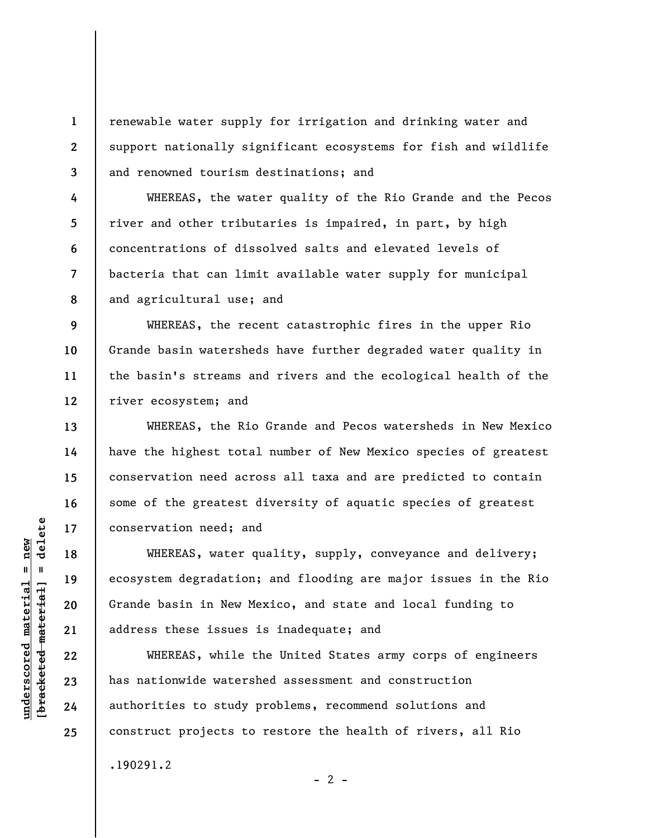renewable water supply for irrigation and drinking water and support nationally significant ecosystems for fish and wildlife and renowned tourism destinations; and

WHEREAS, the water quality of the Rio Grande and the Pecos river and other tributaries is impaired, in part, by high concentrations of dissolved salts and elevated levels of bacteria that can limit available water supply for municipal and agricultural use; and

**9 10 11 12**  WHEREAS, the recent catastrophic fires in the upper Rio Grande basin watersheds have further degraded water quality in the basin's streams and rivers and the ecological health of the river ecosystem; and

WHEREAS, the Rio Grande and Pecos watersheds in New Mexico have the highest total number of New Mexico species of greatest conservation need across all taxa and are predicted to contain some of the greatest diversity of aquatic species of greatest conservation need; and

WHEREAS, water quality, supply, conveyance and delivery; ecosystem degradation; and flooding are major issues in the Rio Grande basin in New Mexico, and state and local funding to address these issues is inadequate; and

WHEREAS, while the United States army corps of engineers has nationwide watershed assessment and construction authorities to study problems, recommend solutions and construct projects to restore the health of rivers, all Rio

 $- 2 -$ 

.190291.2

 $\frac{1}{2}$  intereted material = delete **[bracketed material] = delete**  $underscored material = new$ **underscored material = new**

**1** 

**2** 

**3** 

**4** 

**5** 

**6** 

**7** 

**8** 

**13** 

**14** 

**15** 

**16** 

**17** 

**18** 

**19** 

**20** 

**21** 

**22** 

**23** 

**24** 

**25**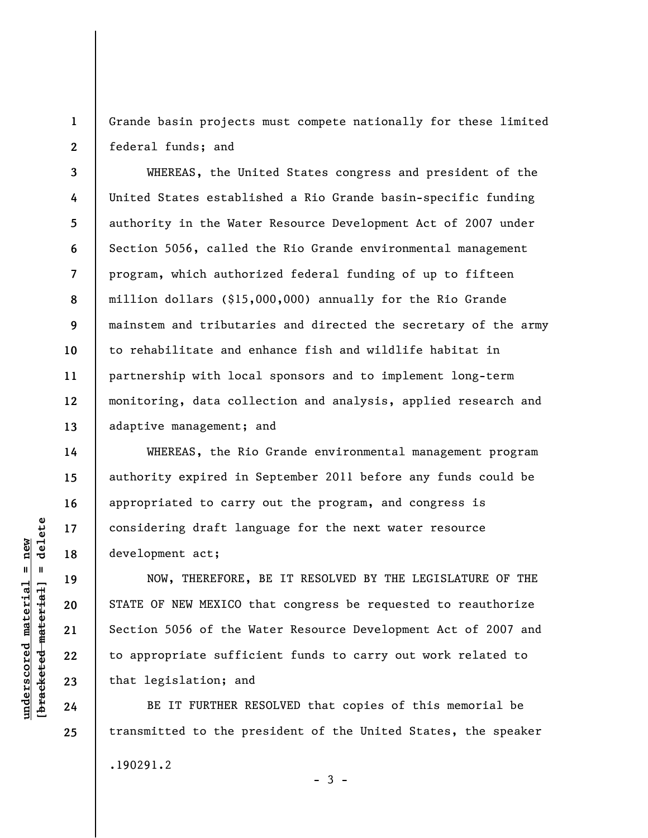**1 2**  Grande basin projects must compete nationally for these limited federal funds; and

**3 4 5 6 7 8 9 10 11 12 13**  WHEREAS, the United States congress and president of the United States established a Rio Grande basin-specific funding authority in the Water Resource Development Act of 2007 under Section 5056, called the Rio Grande environmental management program, which authorized federal funding of up to fifteen million dollars (\$15,000,000) annually for the Rio Grande mainstem and tributaries and directed the secretary of the army to rehabilitate and enhance fish and wildlife habitat in partnership with local sponsors and to implement long-term monitoring, data collection and analysis, applied research and adaptive management; and

WHEREAS, the Rio Grande environmental management program authority expired in September 2011 before any funds could be appropriated to carry out the program, and congress is considering draft language for the next water resource development act;

NOW, THEREFORE, BE IT RESOLVED BY THE LEGISLATURE OF THE STATE OF NEW MEXICO that congress be requested to reauthorize Section 5056 of the Water Resource Development Act of 2007 and to appropriate sufficient funds to carry out work related to that legislation; and

BE IT FURTHER RESOLVED that copies of this memorial be transmitted to the president of the United States, the speaker .190291.2  $-3 -$ 

 $\frac{1}{2}$  intereted material = delete **[bracketed material] = delete**  $underscored material = new$ **underscored material = new**

**14** 

**15** 

**16** 

**17** 

**18** 

**19** 

**20** 

**21** 

**22** 

**23** 

**24** 

**25**